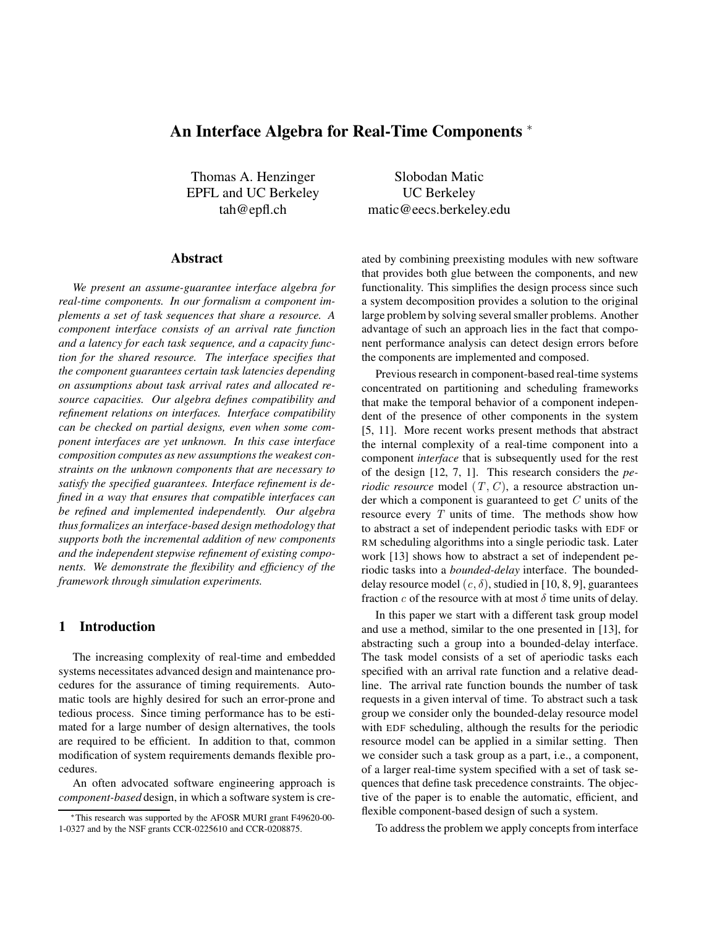# **An Interface Algebra for Real-Time Components** <sup>∗</sup>

Thomas A. Henzinger EPFL and UC Berkeley tah@epfl.ch

### **Abstract**

*We present an assume-guarantee interface algebra for real-time components. In our formalism a component implements a set of task sequences that share a resource. A component interface consists of an arrival rate function and a latency for each task sequence, and a capacity function for the shared resource. The interface specifies that the component guarantees certain task latencies depending on assumptions about task arrival rates and allocated resource capacities. Our algebra defines compatibility and refinement relations on interfaces. Interface compatibility can be checked on partial designs, even when some component interfaces are yet unknown. In this case interface composition computes as new assumptions the weakest constraints on the unknown components that are necessary to satisfy the specified guarantees. Interface refinement is defined in a way that ensures that compatible interfaces can be refined and implemented independently. Our algebra thus formalizes an interface-based design methodology that supports both the incremental addition of new components and the independent stepwise refinement of existing components. We demonstrate the flexibility and efficiency of the framework through simulation experiments.*

# **1 Introduction**

The increasing complexity of real-time and embedded systems necessitates advanced design and maintenance procedures for the assurance of timing requirements. Automatic tools are highly desired for such an error-prone and tedious process. Since timing performance has to be estimated for a large number of design alternatives, the tools are required to be efficient. In addition to that, common modification of system requirements demands flexible procedures.

An often advocated software engineering approach is *component-based* design, in which a software system is cre-

Slobodan Matic UC Berkeley matic@eecs.berkeley.edu

ated by combining preexisting modules with new software that provides both glue between the components, and new functionality. This simplifies the design process since such a system decomposition provides a solution to the original large problem by solving several smaller problems. Another advantage of such an approach lies in the fact that component performance analysis can detect design errors before the components are implemented and composed.

Previous research in component-based real-time systems concentrated on partitioning and scheduling frameworks that make the temporal behavior of a component independent of the presence of other components in the system [5, 11]. More recent works present methods that abstract the internal complexity of a real-time component into a component *interface* that is subsequently used for the rest of the design [12, 7, 1]. This research considers the *periodic resource* model (*T*, *C*), a resource abstraction under which a component is guaranteed to get *C* units of the resource every *T* units of time. The methods show how to abstract a set of independent periodic tasks with EDF or RM scheduling algorithms into a single periodic task. Later work [13] shows how to abstract a set of independent periodic tasks into a *bounded-delay* interface. The boundeddelay resource model  $(c, \delta)$ , studied in [10, 8, 9], guarantees fraction  $c$  of the resource with at most  $\delta$  time units of delay.

In this paper we start with a different task group model and use a method, similar to the one presented in [13], for abstracting such a group into a bounded-delay interface. The task model consists of a set of aperiodic tasks each specified with an arrival rate function and a relative deadline. The arrival rate function bounds the number of task requests in a given interval of time. To abstract such a task group we consider only the bounded-delay resource model with EDF scheduling, although the results for the periodic resource model can be applied in a similar setting. Then we consider such a task group as a part, i.e., a component, of a larger real-time system specified with a set of task sequences that define task precedence constraints. The objective of the paper is to enable the automatic, efficient, and flexible component-based design of such a system.

To address the problem we apply concepts from interface

<sup>∗</sup>This research was supported by the AFOSR MURI grant F49620-00- 1-0327 and by the NSF grants CCR-0225610 and CCR-0208875.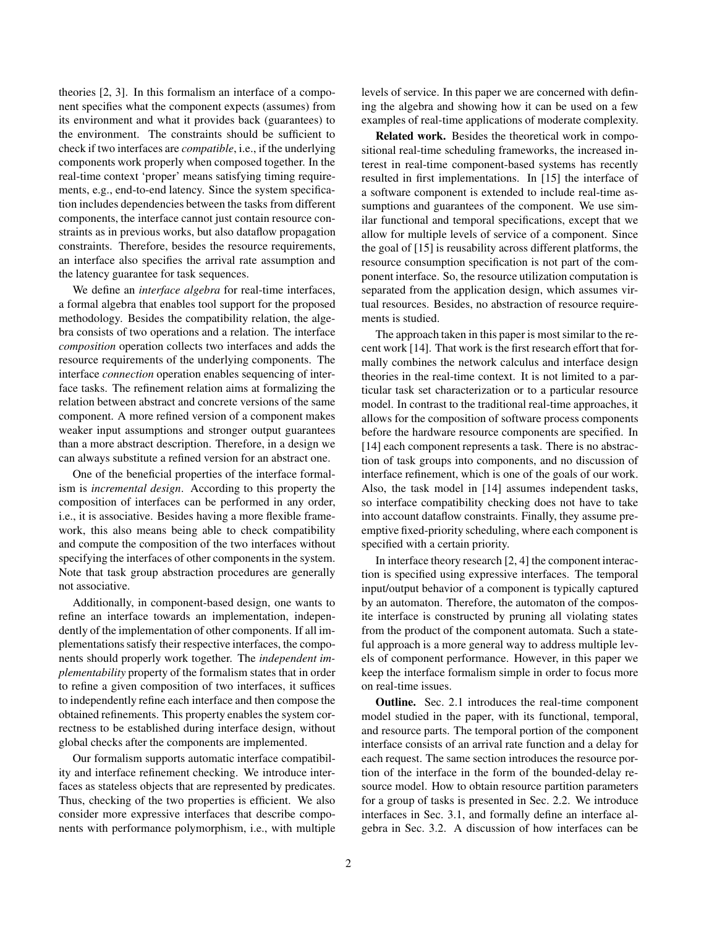theories [2, 3]. In this formalism an interface of a component specifies what the component expects (assumes) from its environment and what it provides back (guarantees) to the environment. The constraints should be sufficient to check if two interfaces are *compatible*, i.e., if the underlying components work properly when composed together. In the real-time context 'proper' means satisfying timing requirements, e.g., end-to-end latency. Since the system specification includes dependencies between the tasks from different components, the interface cannot just contain resource constraints as in previous works, but also dataflow propagation constraints. Therefore, besides the resource requirements, an interface also specifies the arrival rate assumption and the latency guarantee for task sequences.

We define an *interface algebra* for real-time interfaces, a formal algebra that enables tool support for the proposed methodology. Besides the compatibility relation, the algebra consists of two operations and a relation. The interface *composition* operation collects two interfaces and adds the resource requirements of the underlying components. The interface *connection* operation enables sequencing of interface tasks. The refinement relation aims at formalizing the relation between abstract and concrete versions of the same component. A more refined version of a component makes weaker input assumptions and stronger output guarantees than a more abstract description. Therefore, in a design we can always substitute a refined version for an abstract one.

One of the beneficial properties of the interface formalism is *incremental design*. According to this property the composition of interfaces can be performed in any order, i.e., it is associative. Besides having a more flexible framework, this also means being able to check compatibility and compute the composition of the two interfaces without specifying the interfaces of other components in the system. Note that task group abstraction procedures are generally not associative.

Additionally, in component-based design, one wants to refine an interface towards an implementation, independently of the implementation of other components. If all implementations satisfy their respective interfaces, the components should properly work together. The *independent implementability* property of the formalism states that in order to refine a given composition of two interfaces, it suffices to independently refine each interface and then compose the obtained refinements. This property enables the system correctness to be established during interface design, without global checks after the components are implemented.

Our formalism supports automatic interface compatibility and interface refinement checking. We introduce interfaces as stateless objects that are represented by predicates. Thus, checking of the two properties is efficient. We also consider more expressive interfaces that describe components with performance polymorphism, i.e., with multiple levels of service. In this paper we are concerned with defining the algebra and showing how it can be used on a few examples of real-time applications of moderate complexity.

**Related work.** Besides the theoretical work in compositional real-time scheduling frameworks, the increased interest in real-time component-based systems has recently resulted in first implementations. In [15] the interface of a software component is extended to include real-time assumptions and guarantees of the component. We use similar functional and temporal specifications, except that we allow for multiple levels of service of a component. Since the goal of [15] is reusability across different platforms, the resource consumption specification is not part of the component interface. So, the resource utilization computation is separated from the application design, which assumes virtual resources. Besides, no abstraction of resource requirements is studied.

The approach taken in this paper is most similar to the recent work [14]. That work is the first research effort that formally combines the network calculus and interface design theories in the real-time context. It is not limited to a particular task set characterization or to a particular resource model. In contrast to the traditional real-time approaches, it allows for the composition of software process components before the hardware resource components are specified. In [14] each component represents a task. There is no abstraction of task groups into components, and no discussion of interface refinement, which is one of the goals of our work. Also, the task model in [14] assumes independent tasks, so interface compatibility checking does not have to take into account dataflow constraints. Finally, they assume preemptive fixed-priority scheduling, where each component is specified with a certain priority.

In interface theory research [2, 4] the component interaction is specified using expressive interfaces. The temporal input/output behavior of a component is typically captured by an automaton. Therefore, the automaton of the composite interface is constructed by pruning all violating states from the product of the component automata. Such a stateful approach is a more general way to address multiple levels of component performance. However, in this paper we keep the interface formalism simple in order to focus more on real-time issues.

**Outline.** Sec. 2.1 introduces the real-time component model studied in the paper, with its functional, temporal, and resource parts. The temporal portion of the component interface consists of an arrival rate function and a delay for each request. The same section introduces the resource portion of the interface in the form of the bounded-delay resource model. How to obtain resource partition parameters for a group of tasks is presented in Sec. 2.2. We introduce interfaces in Sec. 3.1, and formally define an interface algebra in Sec. 3.2. A discussion of how interfaces can be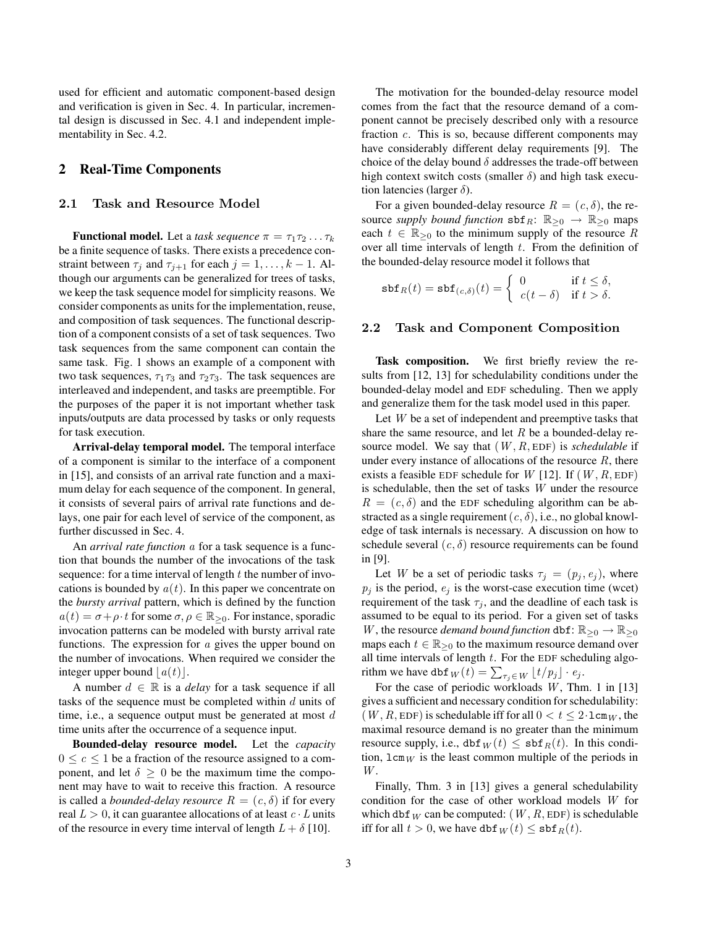used for efficient and automatic component-based design and verification is given in Sec. 4. In particular, incremental design is discussed in Sec. 4.1 and independent implementability in Sec. 4.2.

# **2 Real-Time Components**

### **2.1 Task and Resource Model**

**Functional model.** Let a *task sequence*  $\pi = \tau_1 \tau_2 \dots \tau_k$ be a finite sequence of tasks. There exists a precedence constraint between  $\tau_i$  and  $\tau_{i+1}$  for each  $j = 1, \ldots, k - 1$ . Although our arguments can be generalized for trees of tasks, we keep the task sequence model for simplicity reasons. We consider components as units for the implementation, reuse, and composition of task sequences. The functional description of a component consists of a set of task sequences. Two task sequences from the same component can contain the same task. Fig. 1 shows an example of a component with two task sequences,  $\tau_1 \tau_3$  and  $\tau_2 \tau_3$ . The task sequences are interleaved and independent, and tasks are preemptible. For the purposes of the paper it is not important whether task inputs/outputs are data processed by tasks or only requests for task execution.

**Arrival-delay temporal model.** The temporal interface of a component is similar to the interface of a component in [15], and consists of an arrival rate function and a maximum delay for each sequence of the component. In general, it consists of several pairs of arrival rate functions and delays, one pair for each level of service of the component, as further discussed in Sec. 4.

An *arrival rate function a* for a task sequence is a function that bounds the number of the invocations of the task sequence: for a time interval of length *t* the number of invocations is bounded by *a*(*t*). In this paper we concentrate on the *bursty arrival* pattern, which is defined by the function  $a(t) = \sigma + \rho \cdot t$  for some  $\sigma, \rho \in \mathbb{R}_{\geq 0}$ . For instance, sporadic invocation patterns can be modeled with bursty arrival rate functions. The expression for *a* gives the upper bound on the number of invocations. When required we consider the integer upper bound  $|a(t)|$ .

A number  $d \in \mathbb{R}$  is a *delay* for a task sequence if all tasks of the sequence must be completed within d units of time, i.e., a sequence output must be generated at most  $d$ time units after the occurrence of a sequence input.

**Bounded-delay resource model.** Let the *capacity*  $0 \leq c \leq 1$  be a fraction of the resource assigned to a component, and let  $\delta \geq 0$  be the maximum time the component may have to wait to receive this fraction. A resource is called a *bounded-delay resource*  $R = (c, \delta)$  if for every real  $L > 0$ , it can guarantee allocations of at least  $c \cdot L$  units of the resource in every time interval of length  $L + \delta$  [10].

The motivation for the bounded-delay resource model comes from the fact that the resource demand of a component cannot be precisely described only with a resource fraction *c*. This is so, because different components may have considerably different delay requirements [9]. The choice of the delay bound  $\delta$  addresses the trade-off between high context switch costs (smaller  $\delta$ ) and high task execution latencies (larger  $\delta$ ).

For a given bounded-delay resource  $R = (c, \delta)$ , the resource *supply bound function*  $\texttt{sbf}_R: \mathbb{R}_{\geq 0} \to \mathbb{R}_{\geq 0}$  maps each  $t \in \mathbb{R}_{\geq 0}$  to the minimum supply of the resource R over all time intervals of length *t*. From the definition of the bounded-delay resource model it follows that

$$
\mathbf{sbf}_R(t) = \mathbf{sbf}_{(c,\delta)}(t) = \begin{cases} 0 & \text{if } t \leq \delta, \\ c(t-\delta) & \text{if } t > \delta. \end{cases}
$$

#### **2.2 Task and Component Composition**

Task composition. We first briefly review the results from [12, 13] for schedulability conditions under the bounded-delay model and EDF scheduling. Then we apply and generalize them for the task model used in this paper.

Let *W* be a set of independent and preemptive tasks that share the same resource, and let *R* be a bounded-delay resource model. We say that (*W* , *R*, EDF) is *schedulable* if under every instance of allocations of the resource *R*, there exists a feasible EDF schedule for *W* [12]. If  $(W, R, EDF)$ is schedulable, then the set of tasks *W* under the resource  $R = (c, \delta)$  and the EDF scheduling algorithm can be abstracted as a single requirement  $(c, \delta)$ , i.e., no global knowledge of task internals is necessary. A discussion on how to schedule several  $(c, \delta)$  resource requirements can be found in [9].

Let *W* be a set of periodic tasks  $\tau_j = (p_j, e_j)$ , where  $p_j$  is the period,  $e_j$  is the worst-case execution time (wcet) requirement of the task  $\tau_j$ , and the deadline of each task is assumed to be equal to its period. For a given set of tasks *W*, the resource *demand bound function* dbf:  $\mathbb{R}_{\geq 0} \to \mathbb{R}_{\geq 0}$ maps each  $t \in \mathbb{R}_{\geq 0}$  to the maximum resource demand over all time intervals of length *t*. For the EDF scheduling algorithm we have dbf  $W(t) = \sum_{\tau_j \in W} \lfloor t/p_j \rfloor \cdot e_j$ .

For the case of periodic workloads *W*, Thm. 1 in [13] gives a sufficient and necessary condition for schedulability:  $(W, R, \text{EDF})$  is schedulable iff for all  $0 < t \leq 2 \cdot \text{lcm}_W$ , the maximal resource demand is no greater than the minimum resource supply, i.e.,  $\text{dbf}_W(t) \leq \text{sbf}_R(t)$ . In this condition,  $\text{lcm}_W$  is the least common multiple of the periods in *W* .

Finally, Thm. 3 in [13] gives a general schedulability condition for the case of other workload models *W* for which dbf *W* can be computed:  $(W, R, EDF)$  is schedulable iff for all  $t > 0$ , we have dbf  $W(t) \leq$  sbf $R(t)$ .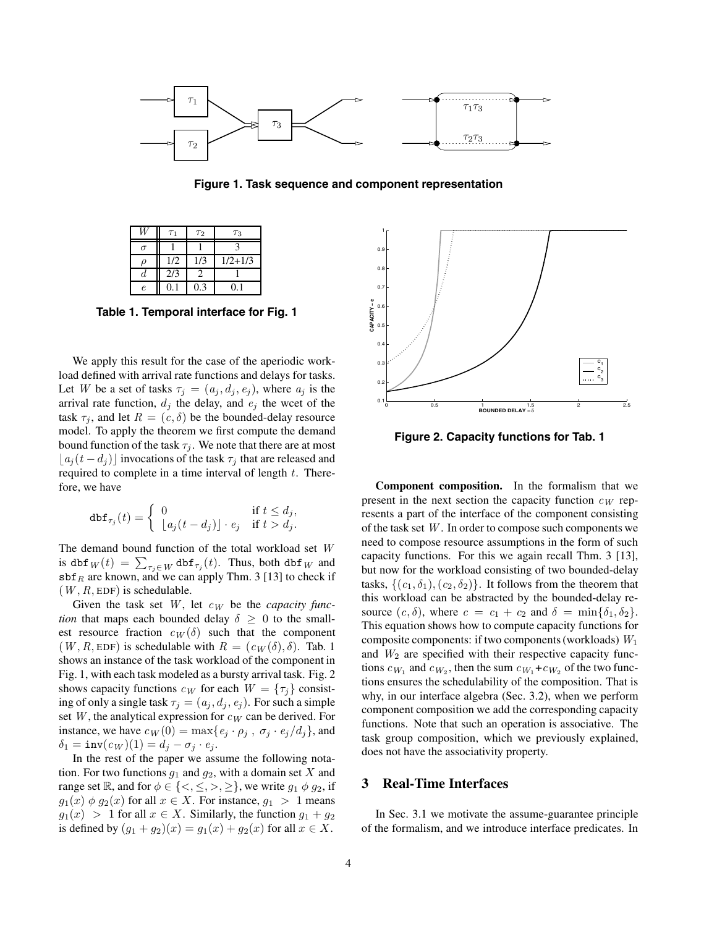

**Figure 1. Task sequence and component representation**

|    |     | $\tau_2$ | $\tau_3$    |
|----|-----|----------|-------------|
|    |     |          |             |
|    | 1/2 | 1/3      | $1/2 + 1/3$ |
|    | 2/3 |          |             |
| P. | ∩∸  | 0.3      | 0.          |

**Table 1. Temporal interface for Fig. 1**

We apply this result for the case of the aperiodic workload defined with arrival rate functions and delays for tasks. Let *W* be a set of tasks  $\tau_j = (a_j, d_j, e_j)$ , where  $a_j$  is the arrival rate function,  $d_i$  the delay, and  $e_i$  the wcet of the task  $\tau_i$ , and let  $R = (c, \delta)$  be the bounded-delay resource model. To apply the theorem we first compute the demand bound function of the task  $\tau_j$ . We note that there are at most  $|a_i(t - d_i)|$  invocations of the task  $\tau_i$  that are released and required to complete in a time interval of length *t*. Therefore, we have

$$
\text{dbf}_{\tau_j}(t) = \begin{cases} 0 & \text{if } t \le d_j, \\ \lfloor a_j(t - d_j) \rfloor \cdot e_j & \text{if } t > d_j. \end{cases}
$$

The demand bound function of the total workload set *W* is dbf<sub>*W*</sub> (*t*) =  $\sum_{\tau_j \in W}$  dbf<sub> $\tau_j$ </sub> (*t*). Thus, both dbf<sub>*W*</sub> and sbf<sub>R</sub> are known, and we can apply Thm. 3 [13] to check if  $(W, R, \text{EDF})$  is schedulable.

Given the task set  $W$ , let  $c_W$  be the *capacity function* that maps each bounded delay  $\delta \geq 0$  to the smallest resource fraction  $c_W(\delta)$  such that the component  $(W, R, \text{EDF})$  is schedulable with  $R = (c_W(\delta), \delta)$ . Tab. 1 shows an instance of the task workload of the component in Fig. 1, with each task modeled as a bursty arrival task. Fig. 2 shows capacity functions  $c_W$  for each  $W = {\tau_j}$  consisting of only a single task  $\tau_i = (a_i, d_i, e_i)$ . For such a simple set *W*, the analytical expression for  $c_W$  can be derived. For instance, we have  $c_W(0) = \max\{e_i \cdot \rho_i, \sigma_i \cdot e_i/d_i\}$ , and  $\delta_1 = \text{inv}(c_W)(1) = d_j - \sigma_j \cdot e_j.$ 

In the rest of the paper we assume the following notation. For two functions  $g_1$  and  $g_2$ , with a domain set X and range set R, and for  $\phi \in \{<,\leq,>,\geq\}$ , we write  $g_1 \phi g_2$ , if  $g_1(x) \phi g_2(x)$  for all  $x \in X$ . For instance,  $g_1 > 1$  means  $g_1(x) > 1$  for all  $x \in X$ . Similarly, the function  $g_1 + g_2$ is defined by  $(g_1 + g_2)(x) = g_1(x) + g_2(x)$  for all  $x \in X$ .



**Figure 2. Capacity functions for Tab. 1**

**Component composition.** In the formalism that we present in the next section the capacity function  $c_W$  represents a part of the interface of the component consisting of the task set *W* . In order to compose such components we need to compose resource assumptions in the form of such capacity functions. For this we again recall Thm. 3 [13], but now for the workload consisting of two bounded-delay tasks,  $\{(c_1, \delta_1), (c_2, \delta_2)\}\$ . It follows from the theorem that this workload can be abstracted by the bounded-delay resource  $(c, \delta)$ , where  $c = c_1 + c_2$  and  $\delta = \min{\{\delta_1, \delta_2\}}$ . This equation shows how to compute capacity functions for composite components: if two components (workloads) *W*<sup>1</sup> and  $W_2$  are specified with their respective capacity functions  $c_{W_1}$  and  $c_{W_2}$ , then the sum  $c_{W_1} + c_{W_2}$  of the two functions ensures the schedulability of the composition. That is why, in our interface algebra (Sec. 3.2), when we perform component composition we add the corresponding capacity functions. Note that such an operation is associative. The task group composition, which we previously explained, does not have the associativity property.

### **3 Real-Time Interfaces**

In Sec. 3.1 we motivate the assume-guarantee principle of the formalism, and we introduce interface predicates. In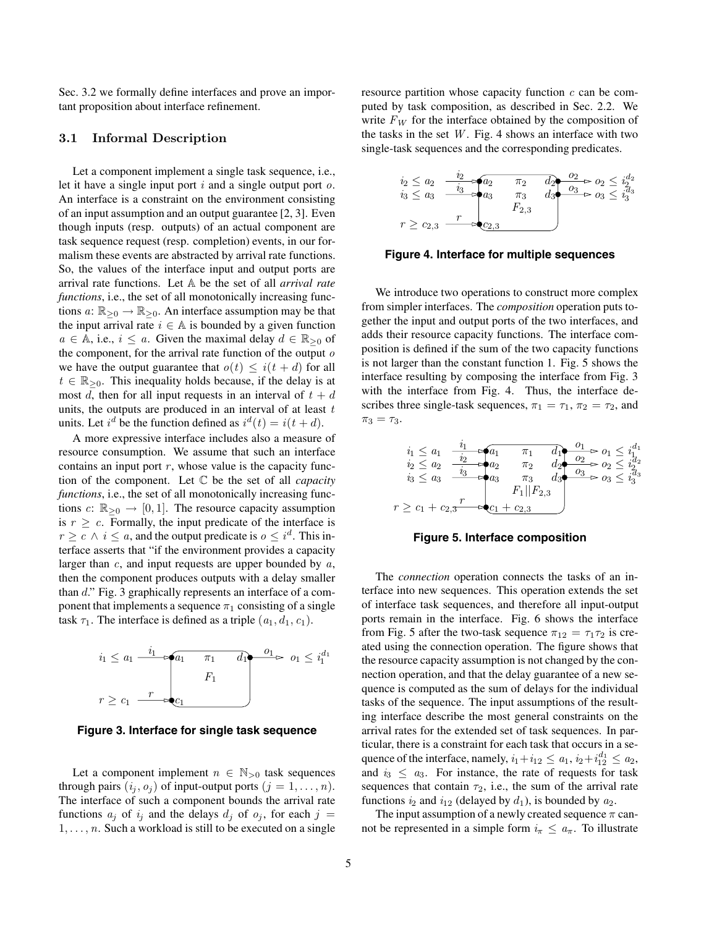Sec. 3.2 we formally define interfaces and prove an important proposition about interface refinement.

### **3.1 Informal Description**

Let a component implement a single task sequence, i.e., let it have a single input port *i* and a single output port *o*. An interface is a constraint on the environment consisting of an input assumption and an output guarantee [2, 3]. Even though inputs (resp. outputs) of an actual component are task sequence request (resp. completion) events, in our formalism these events are abstracted by arrival rate functions. So, the values of the interface input and output ports are arrival rate functions. Let A be the set of all *arrival rate functions*, i.e., the set of all monotonically increasing functions *a*:  $\mathbb{R}_{\geq 0} \to \mathbb{R}_{\geq 0}$ . An interface assumption may be that the input arrival rate  $i \in A$  is bounded by a given function  $a \in \mathbb{A}$ , i.e.,  $i \leq a$ . Given the maximal delay  $d \in \mathbb{R}_{\geq 0}$  of the component, for the arrival rate function of the output *o* we have the output guarantee that  $o(t) \leq i(t + d)$  for all  $t \in \mathbb{R}_{\geq 0}$ . This inequality holds because, if the delay is at most d, then for all input requests in an interval of  $t + d$ units, the outputs are produced in an interval of at least *t* units. Let  $i^d$  be the function defined as  $i^d(t) = i(t + d)$ .

A more expressive interface includes also a measure of resource consumption. We assume that such an interface contains an input port  $r$ , whose value is the capacity function of the component. Let C be the set of all *capacity functions*, i.e., the set of all monotonically increasing functions *c*:  $\mathbb{R}_{\geq 0} \to [0, 1]$ . The resource capacity assumption is  $r \geq c$ . Formally, the input predicate of the interface is  $r \geq c \land i \leq a$ , and the output predicate is  $o \leq i^d$ . This interface asserts that "if the environment provides a capacity larger than *c*, and input requests are upper bounded by *a*, then the component produces outputs with a delay smaller than d." Fig. 3 graphically represents an interface of a component that implements a sequence  $\pi_1$  consisting of a single task  $\tau_1$ . The interface is defined as a triple  $(a_1, d_1, c_1)$ .



**Figure 3. Interface for single task sequence**

Let a component implement  $n \in \mathbb{N}_{>0}$  task sequences through pairs  $(i_i, o_j)$  of input-output ports  $(j = 1, \ldots, n)$ . The interface of such a component bounds the arrival rate functions  $a_i$  of  $i_j$  and the delays  $d_j$  of  $o_j$ , for each  $j =$ 1,..., *n*. Such a workload is still to be executed on a single resource partition whose capacity function *c* can be computed by task composition, as described in Sec. 2.2. We write  $F_W$  for the interface obtained by the composition of the tasks in the set  $W$ . Fig. 4 shows an interface with two single-task sequences and the corresponding predicates.



**Figure 4. Interface for multiple sequences**

We introduce two operations to construct more complex from simpler interfaces. The *composition* operation puts together the input and output ports of the two interfaces, and adds their resource capacity functions. The interface composition is defined if the sum of the two capacity functions is not larger than the constant function 1. Fig. 5 shows the interface resulting by composing the interface from Fig. 3 with the interface from Fig. 4. Thus, the interface describes three single-task sequences,  $\pi_1 = \tau_1$ ,  $\pi_2 = \tau_2$ , and  $\pi_3 = \tau_3$ .



#### **Figure 5. Interface composition**

The *connection* operation connects the tasks of an interface into new sequences. This operation extends the set of interface task sequences, and therefore all input-output ports remain in the interface. Fig. 6 shows the interface from Fig. 5 after the two-task sequence  $\pi_{12} = \tau_1 \tau_2$  is created using the connection operation. The figure shows that the resource capacity assumption is not changed by the connection operation, and that the delay guarantee of a new sequence is computed as the sum of delays for the individual tasks of the sequence. The input assumptions of the resulting interface describe the most general constraints on the arrival rates for the extended set of task sequences. In particular, there is a constraint for each task that occurs in a sequence of the interface, namely,  $i_1 + i_{12} \le a_1$ ,  $i_2 + i_{12}^d \le a_2$ , and  $i_3 \leq a_3$ . For instance, the rate of requests for task sequences that contain  $\tau_2$ , i.e., the sum of the arrival rate functions  $i_2$  and  $i_{12}$  (delayed by  $d_1$ ), is bounded by  $a_2$ .

The input assumption of a newly created sequence  $\pi$  cannot be represented in a simple form  $i_{\pi} \leq a_{\pi}$ . To illustrate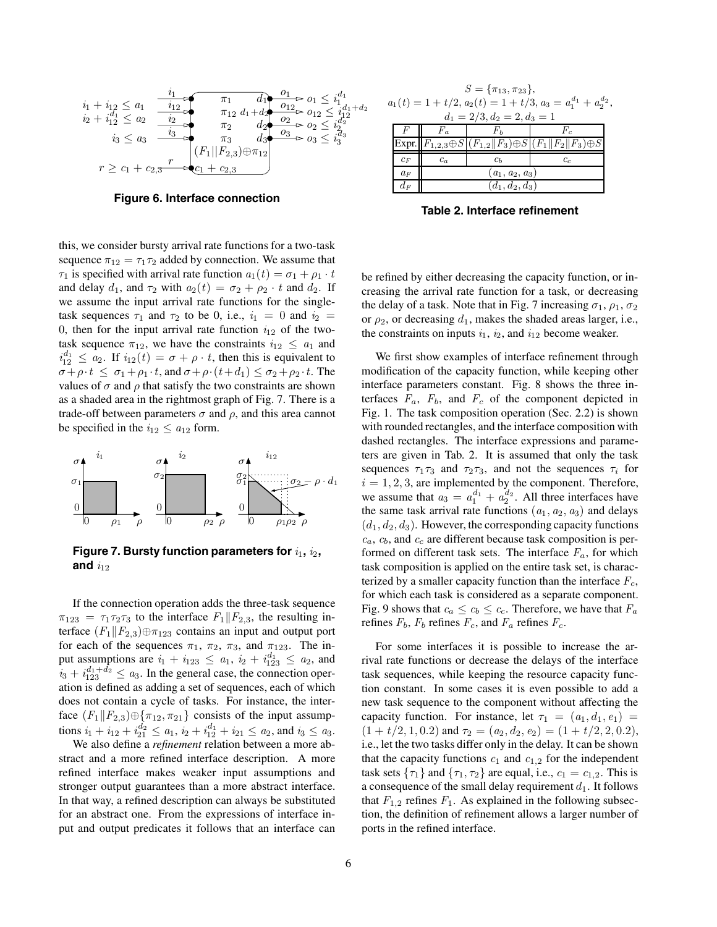

**Figure 6. Interface connection**

this, we consider bursty arrival rate functions for a two-task sequence  $\pi_{12} = \tau_1 \tau_2$  added by connection. We assume that  $\tau_1$  is specified with arrival rate function  $a_1(t) = \sigma_1 + \rho_1 \cdot t$ and delay  $d_1$ , and  $\tau_2$  with  $a_2(t) = \sigma_2 + \rho_2 \cdot t$  and  $d_2$ . If we assume the input arrival rate functions for the singletask sequences  $\tau_1$  and  $\tau_2$  to be 0, i.e.,  $i_1 = 0$  and  $i_2 =$ 0, then for the input arrival rate function  $i_{12}$  of the twotask sequence  $\pi_{12}$ , we have the constraints  $i_{12} \leq a_1$  and  $i_{12}^{d_1} \leq a_2$ . If  $i_{12}(t) = \sigma + \rho \cdot t$ , then this is equivalent to  $\sigma + \rho \cdot t \leq \sigma_1 + \rho_1 \cdot t$ , and  $\sigma + \rho \cdot (t + d_1) \leq \sigma_2 + \rho_2 \cdot t$ . The values of  $\sigma$  and  $\rho$  that satisfy the two constraints are shown as a shaded area in the rightmost graph of Fig. 7. There is a trade-off between parameters  $\sigma$  and  $\rho$ , and this area cannot be specified in the  $i_{12} \leq a_{12}$  form.



**Figure 7. Bursty function parameters for**  $i_1$ ,  $i_2$ , and  $i_{12}$ 

If the connection operation adds the three-task sequence  $\pi_{123} = \tau_1 \tau_2 \tau_3$  to the interface  $F_1 || F_{2,3}$ , the resulting interface  $(F_1 \| F_{2,3}) \oplus \pi_{123}$  contains an input and output port for each of the sequences  $\pi_1$ ,  $\pi_2$ ,  $\pi_3$ , and  $\pi_{123}$ . The input assumptions are  $i_1 + i_{123} \le a_1, i_2 + i_{123}^{d_1} \le a_2$ , and  $i_3 + i_{123}^{d_1 + d_2} \leq a_3$ . In the general case, the connection operation is defined as adding a set of sequences, each of which does not contain a cycle of tasks. For instance, the interface  $(F_1 \| F_{2,3}) \oplus \{\pi_{12}, \pi_{21}\}$  consists of the input assumptions  $i_1 + i_1 + i_2 + i_3$   $i_2 = a_1$ ,  $i_2 + i_1$   $i_1 + i_2 + i_3$  and  $i_3 \le a_3$ .

We also define a *refinement* relation between a more abstract and a more refined interface description. A more refined interface makes weaker input assumptions and stronger output guarantees than a more abstract interface. In that way, a refined description can always be substituted for an abstract one. From the expressions of interface input and output predicates it follows that an interface can

|  | $S = {\pi_{13}, \pi_{23}},$<br>$a_1(t) = 1 + t/2, a_2(t) = 1 + t/3, a_3 = a_1^{d_1} + a_2^{d_2},$ |                                        |  |                                                                                                   |  |  |  |  |  |  |
|--|---------------------------------------------------------------------------------------------------|----------------------------------------|--|---------------------------------------------------------------------------------------------------|--|--|--|--|--|--|
|  | $d_1 = 2/3, d_2 = 2, d_3 = 1$                                                                     |                                        |  |                                                                                                   |  |  |  |  |  |  |
|  |                                                                                                   | $F_{c}$                                |  |                                                                                                   |  |  |  |  |  |  |
|  |                                                                                                   |                                        |  | $\text{Expr.}    F_{1,2,3} \oplus S    (F_{1,2}    F_3) \oplus S    (F_1    F_2    F_3) \oplus S$ |  |  |  |  |  |  |
|  | $c_{c}$                                                                                           |                                        |  |                                                                                                   |  |  |  |  |  |  |
|  | $a_F$                                                                                             | $(a_1, a_2, a_3)$<br>$(d_1, d_2, d_3)$ |  |                                                                                                   |  |  |  |  |  |  |
|  | $d_F$                                                                                             |                                        |  |                                                                                                   |  |  |  |  |  |  |

**Table 2. Interface refinement**

be refined by either decreasing the capacity function, or increasing the arrival rate function for a task, or decreasing the delay of a task. Note that in Fig. 7 increasing  $\sigma_1$ ,  $\rho_1$ ,  $\sigma_2$ or  $\rho_2$ , or decreasing  $d_1$ , makes the shaded areas larger, i.e., the constraints on inputs  $i_1$ ,  $i_2$ , and  $i_{12}$  become weaker.

We first show examples of interface refinement through modification of the capacity function, while keeping other interface parameters constant. Fig. 8 shows the three interfaces  $F_a$ ,  $F_b$ , and  $F_c$  of the component depicted in Fig. 1. The task composition operation (Sec. 2.2) is shown with rounded rectangles, and the interface composition with dashed rectangles. The interface expressions and parameters are given in Tab. 2. It is assumed that only the task sequences  $\tau_1 \tau_3$  and  $\tau_2 \tau_3$ , and not the sequences  $\tau_i$  for  $i = 1, 2, 3$ , are implemented by the component. Therefore, we assume that  $a_3 = a_1^{d_1} + a_2^{d_2}$ . All three interfaces have the same task arrival rate functions  $(a_1, a_2, a_3)$  and delays  $(d_1, d_2, d_3)$ . However, the corresponding capacity functions  $c_a$ ,  $c_b$ , and  $c_c$  are different because task composition is performed on different task sets. The interface  $F_a$ , for which task composition is applied on the entire task set, is characterized by a smaller capacity function than the interface  $F_c$ , for which each task is considered as a separate component. Fig. 9 shows that  $c_a \leq c_b \leq c_c$ . Therefore, we have that  $F_a$ refines  $F_b$ ,  $F_b$  refines  $F_c$ , and  $F_a$  refines  $F_c$ .

For some interfaces it is possible to increase the arrival rate functions or decrease the delays of the interface task sequences, while keeping the resource capacity function constant. In some cases it is even possible to add a new task sequence to the component without affecting the capacity function. For instance, let  $\tau_1 = (a_1, d_1, e_1)$  $(1 + t/2, 1, 0.2)$  and  $\tau_2 = (a_2, d_2, e_2) = (1 + t/2, 2, 0.2),$ i.e., let the two tasks differ only in the delay. It can be shown that the capacity functions  $c_1$  and  $c_{1,2}$  for the independent task sets  $\{\tau_1\}$  and  $\{\tau_1, \tau_2\}$  are equal, i.e.,  $c_1 = c_{1,2}$ . This is a consequence of the small delay requirement  $d_1$ . It follows that  $F_{1,2}$  refines  $F_1$ . As explained in the following subsection, the definition of refinement allows a larger number of ports in the refined interface.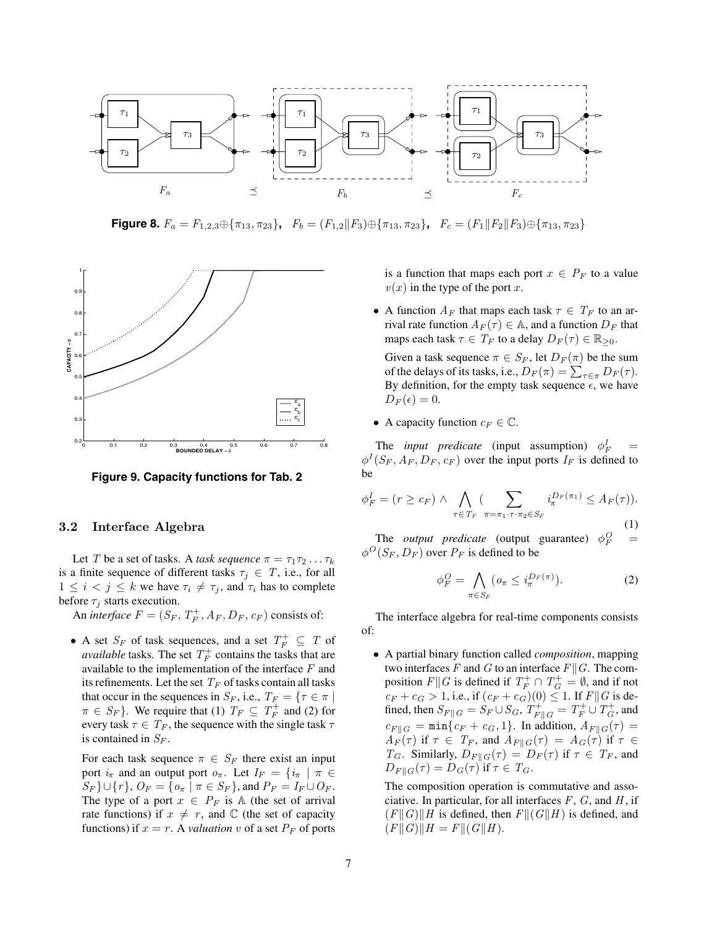

**Figure 8.**  $F_a = F_{1,2,3} \oplus \{\pi_{13}, \pi_{23}\},\ \ F_b = (F_{1,2} \| F_3) \oplus \{\pi_{13}, \pi_{23}\},\ \ F_c = (F_1 \| F_2 \| F_3) \oplus \{\pi_{13}, \pi_{23}\}$ 



**Figure 9. Capacity functions for Tab. 2**

# **3.2 Interface Algebra**

Let *T* be a set of tasks. A *task sequence*  $\pi = \tau_1 \tau_2 \dots \tau_k$ is a finite sequence of different tasks  $\tau_j \in T$ , i.e., for all  $1 \leq i < j \leq k$  we have  $\tau_i \neq \tau_j$ , and  $\tau_i$  has to complete before  $\tau_i$  starts execution.

An *interface*  $F = (S_F, T_F^+, A_F, D_F, c_F)$  consists of:

• A set  $S_F$  of task sequences, and a set  $T_F^+ \subseteq T$  of *available* tasks. The set  $T_F^+$  contains the tasks that are available to the implementation of the interface *F* and its refinements. Let the set  $T_F$  of tasks contain all tasks that occur in the sequences in  $S_F$ , i.e.,  $T_F = \{ \tau \in \pi \mid$  $\pi \in S_F$ . We require that (1)  $T_F \subseteq T_F^+$  and (2) for every task  $\tau \in T_F$ , the sequence with the single task  $\tau$ is contained in *S<sup>F</sup>* .

For each task sequence  $\pi \in S_F$  there exist an input port  $i_{\pi}$  and an output port  $o_{\pi}$ . Let  $I_F = \{i_{\pi} \mid \pi \in$  $S_F$  }∪{*r*},  $O_F = \{o_\pi \mid \pi \in S_F\}$ , and  $P_F = I_F \cup O_F$ . The type of a port  $x \in P_F$  is A (the set of arrival rate functions) if  $x \neq r$ , and  $\mathbb C$  (the set of capacity functions) if  $x = r$ . A *valuation*  $v$  of a set  $P_F$  of ports

is a function that maps each port  $x \in P_F$  to a value  $v(x)$  in the type of the port x.

• A function  $A_F$  that maps each task  $\tau \in T_F$  to an arrival rate function  $A_F(\tau) \in A$ , and a function  $D_F$  that maps each task  $\tau \in T_F$  to a delay  $D_F(\tau) \in \mathbb{R}_{\geq 0}$ .

Given a task sequence  $\pi \in S_F$ , let  $D_F(\pi)$  be the sum of the delays of its tasks, i.e.,  $D_F(\pi) = \sum_{\tau \in \pi} D_F(\tau)$ . By definition, for the empty task sequence  $\epsilon$ , we have  $D_F(\epsilon)=0.$ 

• A capacity function  $c_F \in \mathbb{C}$ .

The *input predicate* (input assumption)  $\phi_F^I$  =  $\phi^I(S_F, A_F, D_F, c_F)$  over the input ports  $I_F$  is defined to be

$$
\phi_F^I = (r \ge c_F) \land \bigwedge_{\tau \in T_F} (\sum_{\pi = \pi_1 \cdot \tau \cdot \pi_2 \in S_F} i_{\pi}^{D_F(\pi_1)} \le A_F(\tau)).
$$
\n(1)

The *output predicate* (output guarantee)  $\phi_F^O$  =  $\phi^{O}(S_F, D_F)$  over  $P_F$  is defined to be

$$
\phi_F^O = \bigwedge_{\pi \in S_F} (o_\pi \leq i_\pi^{D_F(\pi)}).
$$
 (2)

The interface algebra for real-time components consists of:

• A partial binary function called *composition*, mapping two interfaces F and G to an interface  $F \parallel G$ . The composition  $F \parallel G$  is defined if  $T_F^+ \cap T_G^+ = \emptyset$ , and if not  $c_F + c_G > 1$ , i.e., if  $(c_F + c_G)(0) \leq 1$ . If  $F || G$  is defined, then  $S_{F\parallel G} = S_F \cup S_G$ ,  $T_{F\parallel G}^+ = T_F^+ \cup T_G^+$ , and  $c_F \mid G$  = min{ $c_F + c_G$ , 1}. In addition,  $A_{F \mid G}(\tau)$  =  $A_F(\tau)$  if  $\tau \in T_F$ , and  $A_{F \parallel G}(\tau) = A_G(\tau)$  if  $\tau \in$ *T<sub>G</sub>*. Similarly,  $D_{F \parallel G}(\tau) = D_F(\tau)$  if  $\tau \in T_F$ , and  $D_{F \parallel G}(\tau) = D_G(\tau)$  if  $\tau \in T_G$ .

The composition operation is commutative and associative. In particular, for all interfaces *F*, *G*, and *H* , if  $(F \| G) \| H$  is defined, then  $F \| (G \| H)$  is defined, and  $(F \| G) \| H = F \| (G \| H).$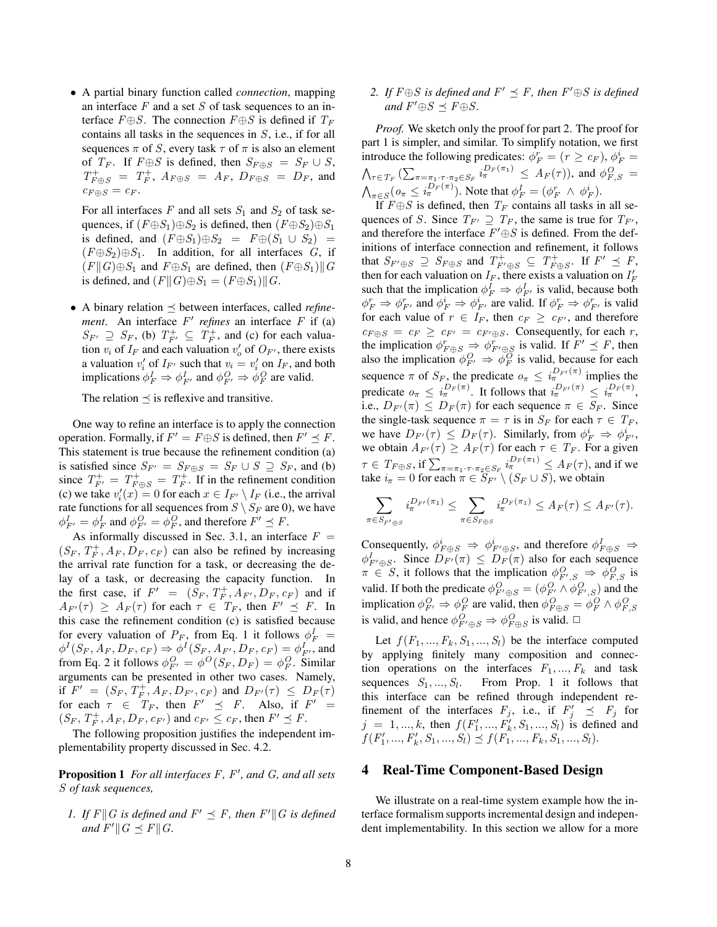• A partial binary function called *connection*, mapping an interface *F* and a set *S* of task sequences to an interface  $F \oplus S$ . The connection  $F \oplus S$  is defined if  $T_F$ contains all tasks in the sequences in *S*, i.e., if for all sequences  $\pi$  of *S*, every task  $\tau$  of  $\pi$  is also an element of  $T_F$ . If  $F \oplus S$  is defined, then  $S_{F \oplus S} = S_F \cup S$ ,  $T_{F \oplus S}^{+} = T_{F}^{+}$ ,  $A_{F \oplus S} = A_{F}$ ,  $D_{F \oplus S} = D_{F}$ , and  $c_{F \oplus S} = c_F$ .

For all interfaces  $F$  and all sets  $S_1$  and  $S_2$  of task sequences, if  $(F \oplus S_1) \oplus S_2$  is defined, then  $(F \oplus S_2) \oplus S_1$ is defined, and  $(F \oplus S_1) \oplus S_2 = F \oplus (S_1 \cup S_2) =$  $(F \oplus S_2) \oplus S_1$ . In addition, for all interfaces *G*, if  $(F \| G) ⊕ S<sub>1</sub>$  and  $F ⊕ S<sub>1</sub>$  are defined, then  $(F ⊕ S<sub>1</sub>)|| G$ is defined, and  $(F \| G) \oplus S_1 = (F \oplus S_1) \| G$ .

• A binary relation  $\preceq$  between interfaces, called *refinement*. An interface  $F'$  *refines* an interface  $F$  if (a)  $S_{F'} \supseteq S_F$ , (b)  $T_{F'}^+ \subseteq T_F^+$ , and (c) for each valuation  $v_i$  of  $I_F$  and each valuation  $v'_o$  of  $O_{F'}$ , there exists a valuation  $v_i'$  of  $I_{F'}$  such that  $v_i = v_i'$  on  $I_F$ , and both implications  $\phi_F^I \Rightarrow \phi_{F'}^I$  and  $\phi_{F'}^O \Rightarrow \phi_F^O$  are valid.

The relation  $\preceq$  is reflexive and transitive.

One way to refine an interface is to apply the connection operation. Formally, if  $F' = F \oplus S$  is defined, then  $F' \preceq F$ . This statement is true because the refinement condition (a) is satisfied since  $S_{F'} = S_{F \oplus S} = S_F \cup S \supseteq S_F$ , and (b) since  $T_{F'}^+ = T_{F \oplus S}^+ = T_F^+$ . If in the refinement condition (c) we take  $v_i'(x)=0$  for each  $x \in I_{F'} \setminus I_F$  (i.e., the arrival rate functions for all sequences from  $S \setminus S_F$  are 0), we have  $\phi_{F'}^I = \phi_F^I$  and  $\phi_{F'}^O = \phi_F^O$ , and therefore  $F' \preceq F$ .

As informally discussed in Sec. 3.1, an interface  $F =$  $(S_F, T_F^+, A_F, D_F, c_F)$  can also be refined by increasing the arrival rate function for a task, or decreasing the delay of a task, or decreasing the capacity function. In the first case, if  $F' = (S_F, T_F^+, A_{F'}, D_F, c_F)$  and if  $A_{F'}(\tau) \geq A_F(\tau)$  for each  $\tau \in T_F$ , then  $F' \preceq F$ . In this case the refinement condition (c) is satisfied because for every valuation of  $P_F$ , from Eq. 1 it follows  $\phi_F^I$  =  $\phi^I(S_F, A_F, D_F, c_F) \Rightarrow \phi^I(S_F, A_{F'}, D_F, c_F) = \phi^I_{F'}$ , and from Eq. 2 it follows  $\phi_{F'}^O = \phi^O(S_F, D_F) = \phi_F^O$ . Similar arguments can be presented in other two cases. Namely, if  $F' = (S_F, T_F^+, A_F, D_{F'}, c_F)$  and  $D_{F'}(\tau) \leq D_F(\tau)$ for each  $\tau \in T_F$ , then  $F' \preceq F$ . Also, if  $F' =$  $(S_F, T_F^+, A_F, D_F, c_{F'})$  and  $c_{F'} \leq c_F$ , then  $F' \leq F$ .

The following proposition justifies the independent implementability property discussed in Sec. 4.2.

**Proposition 1** *For all interfaces F, F , and G, and all sets S of task sequences,*

1. If  $F \parallel G$  is defined and  $F' \preceq F$ , then  $F' \parallel G$  is defined and  $F' \parallel G \preceq F \parallel G$ .

2. If  $F \oplus S$  is defined and  $F' \preceq F$ , then  $F' \oplus S$  is defined *and*  $F' \oplus S \preceq F \oplus S$ *.* 

*Proof.* We sketch only the proof for part 2. The proof for part 1 is simpler, and similar. To simplify notation, we first introduce the following predicates:  $\phi_F^r = (r \geq c_F)$ ,  $\phi_F^i =$  $\bigwedge_{\tau \in T_F} (\sum_{\pi = \pi_1 \cdot \tau \cdot \pi_2 \in S_F} i_{\pi}^{D_F(\pi_1)} \leq A_F(\tau)),$  and  $\phi_{F,S}^O$  $\bigwedge_{\pi \in S} (\mathfrak{o}_{\pi} \leq i_{\pi}^{D_F(\pi)})$ . Note that  $\phi_F^I = (\phi_F^r \wedge \phi_F^i)$ .

If  $F \oplus S$  is defined, then  $T_F$  contains all tasks in all sequences of *S*. Since  $T_{F'} \supseteq T_F$ , the same is true for  $T_{F'}$ , and therefore the interface  $F' \oplus S$  is defined. From the definitions of interface connection and refinement, it follows that  $S_{F'\oplus S} \supseteq S_{F\oplus S}$  and  $T^+_{F'\oplus S} \subseteq T^+_{F\oplus S}$ . If  $F' \preceq F$ , then for each valuation on  $I_F$ , there exists a valuation on  $I_F'$ such that the implication  $\phi_F^I \Rightarrow \phi_{F'}^I$  is valid, because both  $\phi_F^r \Rightarrow \phi_{F'}^r$  and  $\phi_F^i \Rightarrow \phi_{F'}^i$  are valid. If  $\phi_F^r \Rightarrow \phi_{F'}^r$  is valid for each value of  $r \in I_F$ , then  $c_F \geq c_{F'}$ , and therefore  $c_{F \oplus S} = c_F \geq c_{F'} = c_{F' \oplus S}$ . Consequently, for each *r*, the implication  $\phi_{F \oplus S}^r \Rightarrow \phi_{F' \oplus S}^r$  is valid. If  $F' \preceq F$ , then also the implication  $\phi_{F'}^O \Rightarrow \phi_F^O$  is valid, because for each sequence  $\pi$  of  $S_F$ , the predicate  $o_\pi \leq i_\pi^{D_F(\pi)}$  implies the predicate  $o_\pi \leq i_\pi^{D_F(\pi)}$ . It follows that  $i_\pi^{D_{F'}(\pi)} \leq i_\pi^{D_F(\pi)}$ , i.e.,  $D_{F'}(\pi) \leq D_F(\pi)$  for each sequence  $\pi \in S_F$ . Since the single-task sequence  $\pi = \tau$  is in  $S_F$  for each  $\tau \in T_F$ , we have  $D_{F'}(\tau) \leq D_F(\tau)$ . Similarly, from  $\phi_F^i \Rightarrow \phi_{F'}^i$ , we obtain  $A_{F'}(\tau) \geq A_F(\tau)$  for each  $\tau \in T_F$ . For a given  $\tau \in T_{F \oplus S}$ , if  $\sum_{\pi = \pi_1 \cdot \tau \cdot \pi_2 \in S_F} i_{\pi}^{D_F(\pi_1)} \leq A_F(\tau)$ , and if we take  $i_{\pi} = 0$  for each  $\pi \in S_{F'} \setminus (S_F \cup S)$ , we obtain

$$
\sum_{\pi \in S_{F' \oplus S}} i_{\pi}^{D_{F'}(\pi_1)} \leq \sum_{\pi \in S_{F \oplus S}} i_{\pi}^{D_{F}(\pi_1)} \leq A_{F}(\tau) \leq A_{F'}(\tau).
$$

Consequently,  $\phi_{F \oplus S}^i \Rightarrow \phi_{F' \oplus S}^i$ , and therefore  $\phi_{F \oplus S}^I \Rightarrow$  $\phi_{F' \oplus S}^I$ . Since  $D_{F'}(\pi) \leq D_{F}(\pi)$  also for each sequence  $\pi \in S$ , it follows that the implication  $\phi_{F',S}^O \Rightarrow \phi_{F,S}^O$  is valid. If both the predicate  $\phi_{F'\oplus S}^O = (\phi_{F'}^O \wedge \phi_{F',S}^O)$  and the implication  $\phi_F^O \to \phi_F^O$  are valid, then  $\phi_{F \oplus S}^O = \phi_F^O \wedge \phi_{F,S}^O$ is valid, and hence  $\phi_{F' \oplus S}^O \Rightarrow \phi_{F \oplus S}^O$  is valid.  $\Box$ 

Let  $f(F_1, ..., F_k, S_1, ..., S_l)$  be the interface computed by applying finitely many composition and connection operations on the interfaces  $F_1, ..., F_k$  and task sequences  $S_1, ..., S_l$ . From Prop. 1 it follows that this interface can be refined through independent refinement of the interfaces  $F_j$ , i.e., if  $F'_i \preceq F_j$  for  $j = 1, ..., k$ , then  $f(F'_1, ..., F'_k, S_1, ..., S_l)$  is defined and  $f(F'_1, ..., F'_k, S_1, ..., S_l) \preceq f(F_1, ..., F_k, S_1, ..., S_l).$ 

# **4 Real-Time Component-Based Design**

We illustrate on a real-time system example how the interface formalism supports incremental design and independent implementability. In this section we allow for a more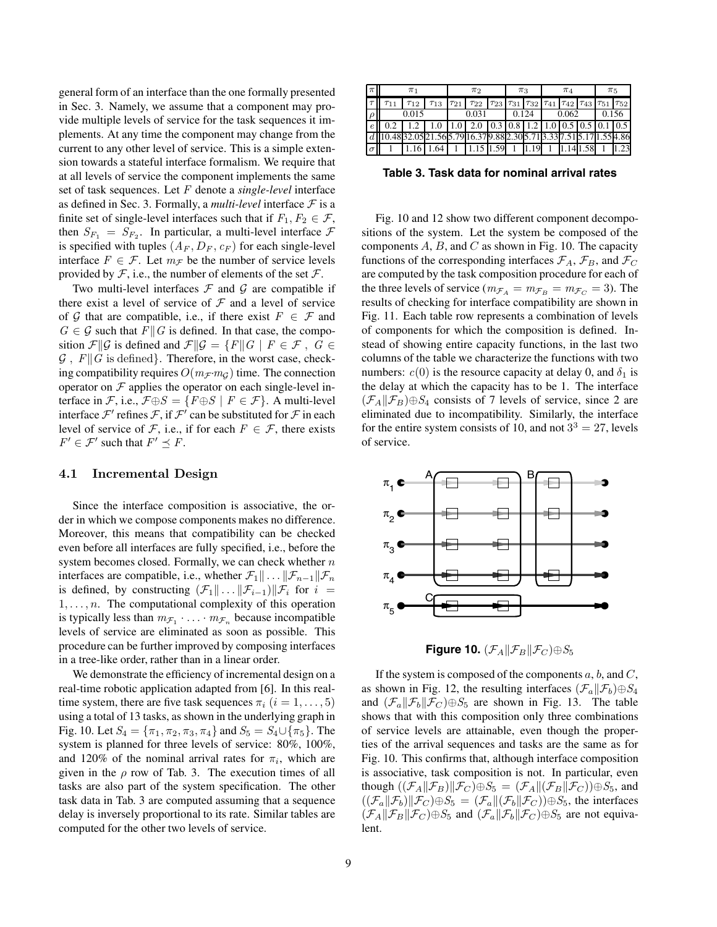general form of an interface than the one formally presented in Sec. 3. Namely, we assume that a component may provide multiple levels of service for the task sequences it implements. At any time the component may change from the current to any other level of service. This is a simple extension towards a stateful interface formalism. We require that at all levels of service the component implements the same set of task sequences. Let *F* denote a *single-level* interface as defined in Sec. 3. Formally, a *multi-level* interface  $\mathcal F$  is a finite set of single-level interfaces such that if  $F_1, F_2 \in \mathcal{F}$ , then  $S_{F_1} = S_{F_2}$ . In particular, a multi-level interface  $\mathcal F$ is specified with tuples  $(A_F, D_F, c_F)$  for each single-level interface  $F \in \mathcal{F}$ . Let  $m_{\mathcal{F}}$  be the number of service levels provided by  $\mathcal F$ , i.e., the number of elements of the set  $\mathcal F$ .

Two multi-level interfaces  $\mathcal F$  and  $\mathcal G$  are compatible if there exist a level of service of  $\mathcal F$  and a level of service of G that are compatible, i.e., if there exist  $F \in \mathcal{F}$  and  $G \in \mathcal{G}$  such that  $F \| G$  is defined. In that case, the composition  $\mathcal{F} \parallel \mathcal{G}$  is defined and  $\mathcal{F} \parallel \mathcal{G} = \{ F \parallel G \mid F \in \mathcal{F}, G \in$  $\mathcal{G}$ ,  $F \parallel G$  is defined}. Therefore, in the worst case, checking compatibility requires  $O(m_F·m_G)$  time. The connection operator on  $\mathcal F$  applies the operator on each single-level interface in F, i.e.,  $\mathcal{F} \oplus S = \{F \oplus S \mid F \in \mathcal{F}\}\$ . A multi-level interface  $\mathcal{F}'$  refines  $\mathcal{F}$ , if  $\mathcal{F}'$  can be substituted for  $\mathcal{F}$  in each level of service of F, i.e., if for each  $F \in \mathcal{F}$ , there exists  $F' \in \mathcal{F}'$  such that  $F' \preceq F$ .

### **4.1 Incremental Design**

Since the interface composition is associative, the order in which we compose components makes no difference. Moreover, this means that compatibility can be checked even before all interfaces are fully specified, i.e., before the system becomes closed. Formally, we can check whether  $n$ interfaces are compatible, i.e., whether  $\mathcal{F}_1 \| \dots \| \mathcal{F}_{n-1} \| \mathcal{F}_n$ is defined, by constructing  $(\mathcal{F}_1 || \dots || \mathcal{F}_{i-1}) || \mathcal{F}_i$  for  $i =$  $1, \ldots, n$ . The computational complexity of this operation is typically less than  $m_{\mathcal{F}_1} \cdot \ldots \cdot m_{\mathcal{F}_n}$  because incompatible levels of service are eliminated as soon as possible. This procedure can be further improved by composing interfaces in a tree-like order, rather than in a linear order.

We demonstrate the efficiency of incremental design on a real-time robotic application adapted from [6]. In this realtime system, there are five task sequences  $\pi_i$   $(i = 1, \ldots, 5)$ using a total of 13 tasks, as shown in the underlying graph in Fig. 10. Let  $S_4 = {\pi_1, \pi_2, \pi_3, \pi_4}$  and  $S_5 = S_4 \cup {\pi_5}$ . The system is planned for three levels of service: 80%, 100%, and 120% of the nominal arrival rates for  $\pi_i$ , which are given in the  $\rho$  row of Tab. 3. The execution times of all tasks are also part of the system specification. The other task data in Tab. 3 are computed assuming that a sequence delay is inversely proportional to its rate. Similar tables are computed for the other two levels of service.

| $\pi$      | $\pi_1$ |                                                                      | $\pi_2$<br>$\pi_3$ |             |             | $\pi_4$       |             | $\pi_{5}$   |             |  |                                     |  |             |
|------------|---------|----------------------------------------------------------------------|--------------------|-------------|-------------|---------------|-------------|-------------|-------------|--|-------------------------------------|--|-------------|
|            |         | $\tau_{12}$                                                          | $\tau_{13}$        | $\tau_{21}$ | $\tau_{22}$ | $\tau_{23}$   | $\tau_{31}$ | $\tau_{32}$ | $\tau_{41}$ |  | $\tau_{42}$ $\tau_{43}$ $\tau_{51}$ |  | $\tau_{52}$ |
| $\rho$     | 0.015   |                                                                      | 0.031              |             | 0.124       |               | 0.062       |             | 0.156       |  |                                     |  |             |
| $\epsilon$ |         |                                                                      | .0                 | 1.0         | 2.0         | $0.3$ 0.8 1.2 |             |             |             |  | $1.0$ 0.5 0.5 0.1 0.5               |  |             |
|            |         | 10.48 32.05 21.56 5.79 16.37 9.88 2.30 5.71 3.33 7.51 5.17 1.55 4.86 |                    |             |             |               |             |             |             |  |                                     |  |             |
| $\sigma$   |         |                                                                      | .64                |             | 1.15 1.59   |               |             | 19          |             |  | 1.14 1.58                           |  | 23          |

**Table 3. Task data for nominal arrival rates**

Fig. 10 and 12 show two different component decompositions of the system. Let the system be composed of the components  $A$ ,  $B$ , and  $C$  as shown in Fig. 10. The capacity functions of the corresponding interfaces  $\mathcal{F}_A$ ,  $\mathcal{F}_B$ , and  $\mathcal{F}_C$ are computed by the task composition procedure for each of the three levels of service ( $m_{\mathcal{F}_A} = m_{\mathcal{F}_B} = m_{\mathcal{F}_C} = 3$ ). The results of checking for interface compatibility are shown in Fig. 11. Each table row represents a combination of levels of components for which the composition is defined. Instead of showing entire capacity functions, in the last two columns of the table we characterize the functions with two numbers:  $c(0)$  is the resource capacity at delay 0, and  $\delta_1$  is the delay at which the capacity has to be 1. The interface  $(\mathcal{F}_A$   $||\mathcal{F}_B) ⊕ S_4$  consists of 7 levels of service, since 2 are eliminated due to incompatibility. Similarly, the interface for the entire system consists of 10, and not  $3^3 = 27$ , levels of service.



Figure 10.  $(\mathcal{F}_A || \mathcal{F}_B || \mathcal{F}_C) \oplus S_5$ 

If the system is composed of the components  $a, b$ , and  $C$ , as shown in Fig. 12, the resulting interfaces  $(\mathcal{F}_a||\mathcal{F}_b) \oplus S_4$ and  $(\mathcal{F}_a || \mathcal{F}_b || \mathcal{F}_c) \oplus S_5$  are shown in Fig. 13. The table shows that with this composition only three combinations of service levels are attainable, even though the properties of the arrival sequences and tasks are the same as for Fig. 10. This confirms that, although interface composition is associative, task composition is not. In particular, even though  $((\mathcal{F}_A || \mathcal{F}_B) || \mathcal{F}_C) \oplus S_5 = (\mathcal{F}_A || (\mathcal{F}_B || \mathcal{F}_C)) \oplus S_5$ , and  $((\mathcal{F}_a||\mathcal{F}_b)||\mathcal{F}_C)\oplus S_5 = (\mathcal{F}_a||(\mathcal{F}_b||\mathcal{F}_C))\oplus S_5$ , the interfaces  $(\mathcal{F}_A || \mathcal{F}_B || \mathcal{F}_C) \oplus S_5$  and  $(\mathcal{F}_a || \mathcal{F}_b || \mathcal{F}_C) \oplus S_5$  are not equivalent.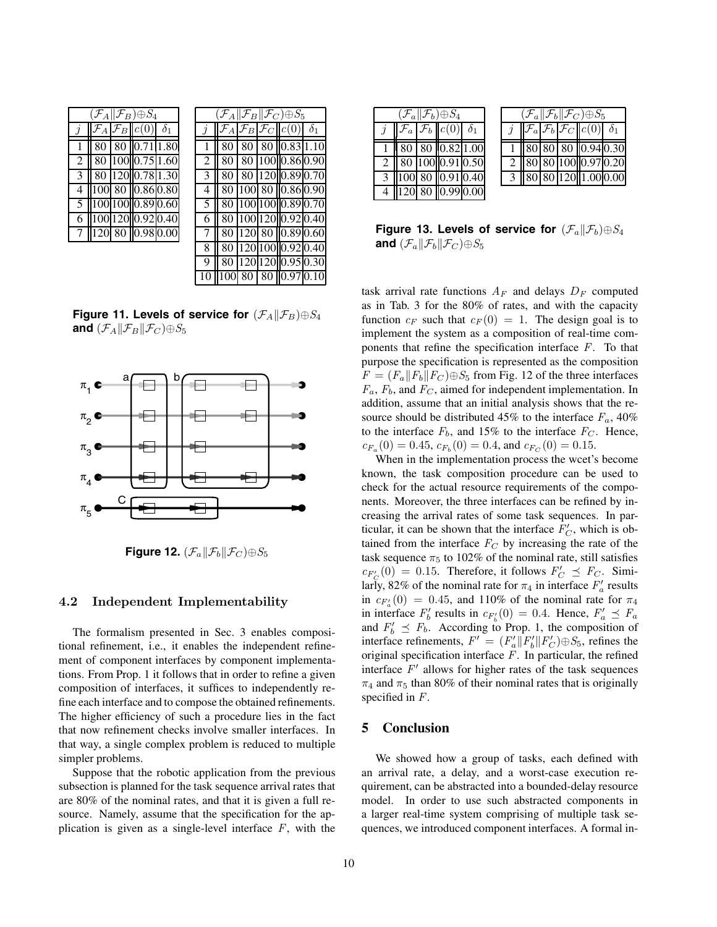| $(\mathcal F_A\ \mathcal F_B)\!\oplus\!S_4$ |  |  |                                               |  |  |  |  |  |  |
|---------------------------------------------|--|--|-----------------------------------------------|--|--|--|--|--|--|
|                                             |  |  | $\mathcal{F}_A \mathcal{F}_B  c(0)  \delta_1$ |  |  |  |  |  |  |
|                                             |  |  | $\vert 80 \vert 80 \vert 0.71 \vert 1.80$     |  |  |  |  |  |  |
|                                             |  |  | 2   80   100   0.75   1.60                    |  |  |  |  |  |  |
|                                             |  |  | 3 80 120 0.78 1.30                            |  |  |  |  |  |  |
|                                             |  |  | $4$   100   80   0.86 0.80                    |  |  |  |  |  |  |
|                                             |  |  | 5 100 100 0.89 0.60                           |  |  |  |  |  |  |
|                                             |  |  | 6 100 120 0.92 0.40                           |  |  |  |  |  |  |
|                                             |  |  | 7 120 80 0.98 0.00                            |  |  |  |  |  |  |

|                | $(\mathcal{F}_A\ \mathcal{F}_B\ \mathcal{F}_C)\oplus S_5$ |  |  |                                                            |  |  |  |  |  |
|----------------|-----------------------------------------------------------|--|--|------------------------------------------------------------|--|--|--|--|--|
|                |                                                           |  |  | $\mathscr{F}_A \mathcal{F}_B \mathcal{F}_C  c(0) \delta_1$ |  |  |  |  |  |
|                | 80                                                        |  |  | 80 80 0.83 1.10                                            |  |  |  |  |  |
| $\overline{c}$ | 80                                                        |  |  | 80 100 0.86 0.90                                           |  |  |  |  |  |
| 3              | 80.                                                       |  |  | 80 120 0.89 0.70                                           |  |  |  |  |  |
| 4              | 80                                                        |  |  | 100 80 0.86 0.90                                           |  |  |  |  |  |
| 5              | 80                                                        |  |  | 100 100 0.89 0.70                                          |  |  |  |  |  |
| 6              |                                                           |  |  | 80 100 120 0.92 0.40                                       |  |  |  |  |  |
| 7              |                                                           |  |  | 80 120 80 0.89 0.60                                        |  |  |  |  |  |
| 8              |                                                           |  |  | 80 120 100 0.92 0.40                                       |  |  |  |  |  |
| 9              |                                                           |  |  | 80 120 120 0.95 0.30                                       |  |  |  |  |  |
|                |                                                           |  |  | 100 80 80 0.97 0.10                                        |  |  |  |  |  |

Figure 11. Levels of service for  $(\mathcal{F}_A \| \mathcal{F}_B) \oplus S_4$ and  $(\mathcal{F}_A || \mathcal{F}_B || \mathcal{F}_C) \oplus S_5$ 



**Figure 12.**  $(\mathcal{F}_a || \mathcal{F}_b || \mathcal{F}_C) \oplus S_5$ 

### **4.2 Independent Implementability**

The formalism presented in Sec. 3 enables compositional refinement, i.e., it enables the independent refinement of component interfaces by component implementations. From Prop. 1 it follows that in order to refine a given composition of interfaces, it suffices to independently refine each interface and to compose the obtained refinements. The higher efficiency of such a procedure lies in the fact that now refinement checks involve smaller interfaces. In that way, a single complex problem is reduced to multiple simpler problems.

Suppose that the robotic application from the previous subsection is planned for the task sequence arrival rates that are 80% of the nominal rates, and that it is given a full resource. Namely, assume that the specification for the application is given as a single-level interface *F*, with the

| $(\mathcal{F}_a\ \mathcal{F}_b)\!\oplus\!S_4$ |  |  |                                                                     |  |  |  |  |
|-----------------------------------------------|--|--|---------------------------------------------------------------------|--|--|--|--|
| $\boldsymbol{\eta}$                           |  |  | $\mathcal{F}_a$ $\mathcal{F}_b$ $ c(0) $ $\delta_1$                 |  |  |  |  |
|                                               |  |  | $\overline{80}$ $\overline{80}$ $\overline{0.82}$ $\overline{1.00}$ |  |  |  |  |
|                                               |  |  | $\vert$ 80 100 0.91 0.50                                            |  |  |  |  |
|                                               |  |  | $\vert 100 \vert 80 \vert 0.91 \vert 0.40$                          |  |  |  |  |
|                                               |  |  | $\left  120 \right  80 \left  0.99 \right  0.00$                    |  |  |  |  |

| $(\mathcal{F}_a\ \mathcal{F}_b\ \mathcal{F}_C)\oplus S_5$ |  |  |  |                                                               |  |  |  |  |  |
|-----------------------------------------------------------|--|--|--|---------------------------------------------------------------|--|--|--|--|--|
|                                                           |  |  |  | $\ \mathcal{F}_a \mathcal{F}_b \mathcal{F}_C\ c(0)\ \delta_1$ |  |  |  |  |  |
|                                                           |  |  |  | 80 80 80 0.94 0.30                                            |  |  |  |  |  |
|                                                           |  |  |  | $\overline{2}$ 80 80 100 0.97 0.20                            |  |  |  |  |  |
|                                                           |  |  |  | 3 80 80 120 1.00 0.00                                         |  |  |  |  |  |

Figure 13. Levels of service for  $(\mathcal{F}_a\|\mathcal{F}_b){\oplus}S_4$ and  $(\mathcal{F}_a \Vert \mathcal{F}_b \Vert \mathcal{F}_C) \oplus S_5$ 

task arrival rate functions  $A_F$  and delays  $D_F$  computed as in Tab. 3 for the 80% of rates, and with the capacity function  $c_F$  such that  $c_F(0) = 1$ . The design goal is to implement the system as a composition of real-time components that refine the specification interface *F*. To that purpose the specification is represented as the composition  $F = (F_a \| F_b \| F_C) \oplus S_5$  from Fig. 12 of the three interfaces  $F_a$ ,  $F_b$ , and  $F_C$ , aimed for independent implementation. In addition, assume that an initial analysis shows that the resource should be distributed 45% to the interface  $F_a$ , 40% to the interface  $F_b$ , and 15% to the interface  $F_c$ . Hence,  $c_{F_a}(0) = 0.45$ ,  $c_{F_b}(0) = 0.4$ , and  $c_{F_C}(0) = 0.15$ .

When in the implementation process the wcet's become known, the task composition procedure can be used to check for the actual resource requirements of the components. Moreover, the three interfaces can be refined by increasing the arrival rates of some task sequences. In particular, it can be shown that the interface  $F_C'$ , which is obtained from the interface  $F_C$  by increasing the rate of the task sequence  $\pi_5$  to 102% of the nominal rate, still satisfies  $c_{F_C'}(0) = 0.15$ . Therefore, it follows  $F_C' \preceq F_C$ . Similarly, 82% of the nominal rate for  $\pi_4$  in interface  $F'_a$  results in  $c_{F'_a}(0) = 0.45$ , and 110% of the nominal rate for  $\pi_4$ in interface  $F'_b$  results in  $c_{F'_b}(0) = 0.4$ . Hence,  $F'_a \preceq F_a$ and  $F'_b \preceq F_b$ . According to Prop. 1, the composition of interface refinements,  $F' = (F'_a \| F'_b \| F'_c) \oplus S_5$ , refines the original specification interface *F*. In particular, the refined interface  $F'$  allows for higher rates of the task sequences  $\pi_4$  and  $\pi_5$  than 80% of their nominal rates that is originally specified in *F*.

# **5 Conclusion**

We showed how a group of tasks, each defined with an arrival rate, a delay, and a worst-case execution requirement, can be abstracted into a bounded-delay resource model. In order to use such abstracted components in a larger real-time system comprising of multiple task sequences, we introduced component interfaces. A formal in-